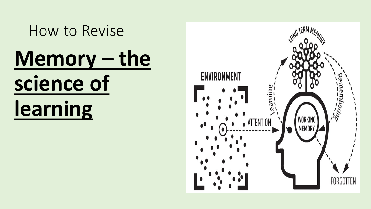How to Revise **Memory – the science of learning**

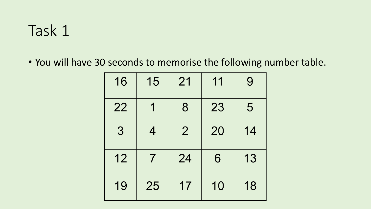## Task 1

• You will have 30 seconds to memorise the following number table.

| 16 | 15 | 21             | 11 | 9  |
|----|----|----------------|----|----|
| 22 |    | 8              | 23 | 5  |
| 3  | 4  | $\overline{2}$ | 20 | 14 |
| 12 | 7  | 24             | 6  | 13 |
| 19 | 25 | 17             | 10 | 18 |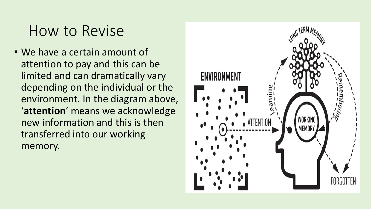## How to Revise

• We have a certain amount of attention to pay and this can be limited and can dramatically vary depending on the individual or the environment. In the diagram above, '**attention**' means we acknowledge new information and this is then transferred into our working memory.

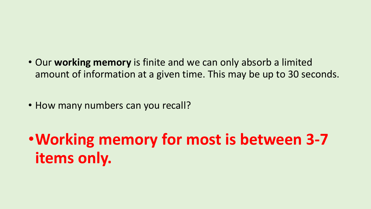• Our **working memory** is finite and we can only absorb a limited amount of information at a given time. This may be up to 30 seconds.

• How many numbers can you recall?

•**Working memory for most is between 3-7 items only.**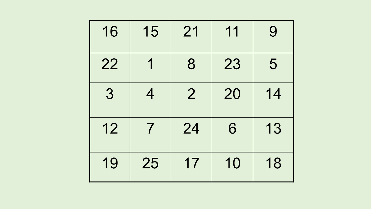| 16 | 15 | 21             | 11 | 9  |
|----|----|----------------|----|----|
| 22 |    | 8              | 23 | 5  |
| 3  | 4  | $\overline{2}$ | 20 | 14 |
| 12 | 7  | 24             | 6  | 13 |
| 19 | 25 | 17             | 10 | 18 |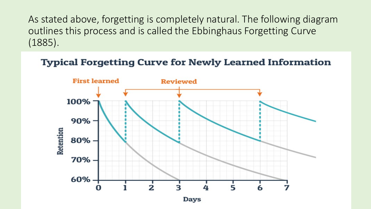As stated above, forgetting is completely natural. The following diagram outlines this process and is called the Ebbinghaus Forgetting Curve (1885).

**Typical Forgetting Curve for Newly Learned Information** 



Days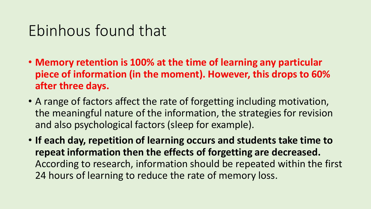## Ebinhous found that

- **Memory retention is 100% at the time of learning any particular piece of information (in the moment). However, this drops to 60% after three days.**
- A range of factors affect the rate of forgetting including motivation, the meaningful nature of the information, the strategies for revision and also psychological factors (sleep for example).
- **If each day, repetition of learning occurs and students take time to repeat information then the effects of forgetting are decreased.** According to research, information should be repeated within the first 24 hours of learning to reduce the rate of memory loss.